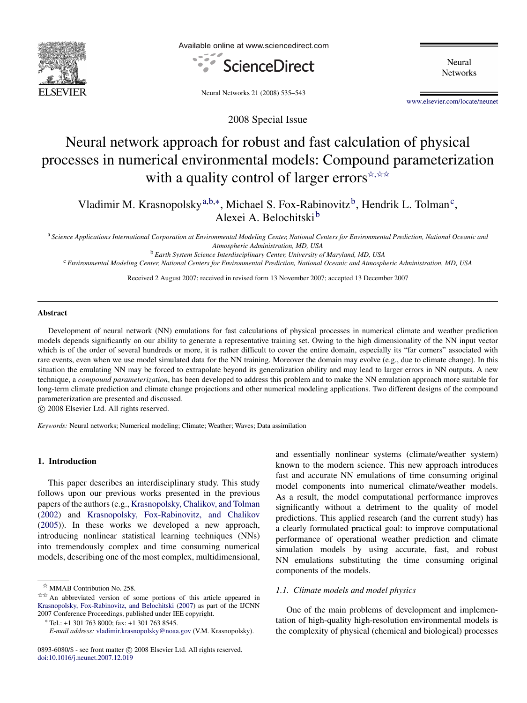

Available online at www.sciencedirect.com



Neural **Networks** 

Neural Networks 21 (2008) 535–543

[www.elsevier.com/locate/neunet](http://www.elsevier.com/locate/neunet)

# 2008 Special Issue

# Neural network approach for robust and fast calculation of physical processes in numerical environmental models: Compound parameterization with a quality control of larger errors  $\hat{z}$

Vl[a](#page-0-2)dimir M. Krasnopolsky<sup>a[,b,](#page-0-3)\*</sup>, Michael S. Fox-Ra[b](#page-0-3)inovitz<sup>b</sup>, Hendrik L. Tolman<sup>[c](#page-0-5)</sup>, Alexei A. Belochitski<sup>[b](#page-0-3)</sup>

<span id="page-0-2"></span><sup>a</sup> *Science Applications International Corporation at Environmental Modeling Center, National Centers for Environmental Prediction, National Oceanic and Atmospheric Administration, MD, USA*

<span id="page-0-3"></span><sup>b</sup> *Earth System Science Interdisciplinary Center, University of Maryland, MD, USA*

<span id="page-0-5"></span><sup>c</sup> *Environmental Modeling Center, National Centers for Environmental Prediction, National Oceanic and Atmospheric Administration, MD, USA*

Received 2 August 2007; received in revised form 13 November 2007; accepted 13 December 2007

#### Abstract

Development of neural network (NN) emulations for fast calculations of physical processes in numerical climate and weather prediction models depends significantly on our ability to generate a representative training set. Owing to the high dimensionality of the NN input vector which is of the order of several hundreds or more, it is rather difficult to cover the entire domain, especially its "far corners" associated with rare events, even when we use model simulated data for the NN training. Moreover the domain may evolve (e.g., due to climate change). In this situation the emulating NN may be forced to extrapolate beyond its generalization ability and may lead to larger errors in NN outputs. A new technique, a *compound parameterization*, has been developed to address this problem and to make the NN emulation approach more suitable for long-term climate prediction and climate change projections and other numerical modeling applications. Two different designs of the compound parameterization are presented and discussed.

c 2008 Elsevier Ltd. All rights reserved.

*Keywords:* Neural networks; Numerical modeling; Climate; Weather; Waves; Data assimilation

#### 1. Introduction

This paper describes an interdisciplinary study. This study follows upon our previous works presented in the previous papers of the authors (e.g., [Krasnopolsky,](#page-8-0) [Chalikov,](#page-8-0) [and](#page-8-0) [Tolman](#page-8-0) [\(2002\)](#page-8-0) and [Krasnopolsky,](#page-8-1) [Fox-Rabinovitz,](#page-8-1) [and](#page-8-1) [Chalikov](#page-8-1) [\(2005\)](#page-8-1)). In these works we developed a new approach, introducing nonlinear statistical learning techniques (NNs) into tremendously complex and time consuming numerical models, describing one of the most complex, multidimensional, and essentially nonlinear systems (climate/weather system) known to the modern science. This new approach introduces fast and accurate NN emulations of time consuming original model components into numerical climate/weather models. As a result, the model computational performance improves significantly without a detriment to the quality of model predictions. This applied research (and the current study) has a clearly formulated practical goal: to improve computational performance of operational weather prediction and climate simulation models by using accurate, fast, and robust NN emulations substituting the time consuming original components of the models.

#### *1.1. Climate models and model physics*

One of the main problems of development and implementation of high-quality high-resolution environmental models is the complexity of physical (chemical and biological) processes

<span id="page-0-0"></span> $\stackrel{\leftrightarrow}{\sim}$  MMAB Contribution No. 258.

<span id="page-0-1"></span><sup>✩✩</sup> An abbreviated version of some portions of this article appeared in [Krasnopolsky,](#page-8-2) [Fox-Rabinovitz,](#page-8-2) [and](#page-8-2) [Belochitski](#page-8-2) [\(2007\)](#page-8-2) as part of the IJCNN 2007 Conference Proceedings, published under IEE copyright.

<span id="page-0-4"></span><sup>∗</sup> Tel.: +1 301 763 8000; fax: +1 301 763 8545.

*E-mail address:* [vladimir.krasnopolsky@noaa.gov](mailto:vladimir.krasnopolsky@noaa.gov) (V.M. Krasnopolsky).

<sup>0893-6080/\$ -</sup> see front matter © 2008 Elsevier Ltd. All rights reserved. [doi:10.1016/j.neunet.2007.12.019](http://dx.doi.org/10.1016/j.neunet.2007.12.019)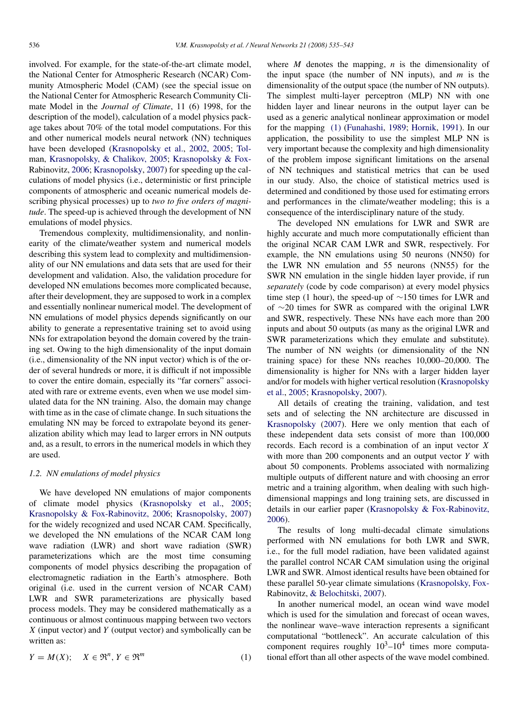involved. For example, for the state-of-the-art climate model, the National Center for Atmospheric Research (NCAR) Community Atmospheric Model (CAM) (see the special issue on the National Center for Atmospheric Research Community Climate Model in the *Journal of Climate*, 11 (6) 1998, for the description of the model), calculation of a model physics package takes about 70% of the total model computations. For this and other numerical models neural network (NN) techniques [h](#page-8-1)ave been developed [\(Krasnopolsky](#page-8-0) [et al.,](#page-8-0) [2002,](#page-8-0) [2005;](#page-8-0) [Tol](#page-8-1)[man,](#page-8-1) [Krasnopolsky,](#page-8-1) [&](#page-8-1) [Chalikov,](#page-8-1) [2005;](#page-8-1) [Krasnopolsky](#page-8-3) [&](#page-8-3) [Fox-](#page-8-3)[Rabinovitz,](#page-8-3) [2006;](#page-8-3) [Krasnopolsky,](#page-8-4) [2007\)](#page-8-4) for speeding up the calculations of model physics (i.e., deterministic or first principle components of atmospheric and oceanic numerical models describing physical processes) up to *two to five orders of magnitude*. The speed-up is achieved through the development of NN emulations of model physics.

Tremendous complexity, multidimensionality, and nonlinearity of the climate/weather system and numerical models describing this system lead to complexity and multidimensionality of our NN emulations and data sets that are used for their development and validation. Also, the validation procedure for developed NN emulations becomes more complicated because, after their development, they are supposed to work in a complex and essentially nonlinear numerical model. The development of NN emulations of model physics depends significantly on our ability to generate a representative training set to avoid using NNs for extrapolation beyond the domain covered by the training set. Owing to the high dimensionality of the input domain (i.e., dimensionality of the NN input vector) which is of the order of several hundreds or more, it is difficult if not impossible to cover the entire domain, especially its "far corners" associated with rare or extreme events, even when we use model simulated data for the NN training. Also, the domain may change with time as in the case of climate change. In such situations the emulating NN may be forced to extrapolate beyond its generalization ability which may lead to larger errors in NN outputs and, as a result, to errors in the numerical models in which they are used.

#### *1.2. NN emulations of model physics*

We have developed NN emulations of major components of climate model physics [\(Krasnopolsky](#page-8-1) [et al.,](#page-8-1) [2005;](#page-8-1) [Krasnopolsky](#page-8-4) [&](#page-8-4) [Fox-Rabinovitz,](#page-8-4) [2006;](#page-8-4) [Krasnopolsky,](#page-8-5) [2007\)](#page-8-5) for the widely recognized and used NCAR CAM. Specifically, we developed the NN emulations of the NCAR CAM long wave radiation (LWR) and short wave radiation (SWR) parameterizations which are the most time consuming components of model physics describing the propagation of electromagnetic radiation in the Earth's atmosphere. Both original (i.e. used in the current version of NCAR CAM) LWR and SWR parameterizations are physically based process models. They may be considered mathematically as a continuous or almost continuous mapping between two vectors *X* (input vector) and *Y* (output vector) and symbolically can be written as:

$$
Y = M(X); \quad X \in \mathfrak{R}^n, Y \in \mathfrak{R}^m \tag{1}
$$

where *M* denotes the mapping, *n* is the dimensionality of the input space (the number of NN inputs), and *m* is the dimensionality of the output space (the number of NN outputs). The simplest multi-layer perceptron (MLP) NN with one hidden layer and linear neurons in the output layer can be used as a generic analytical nonlinear approximation or model for the mapping [\(1\)](#page-1-0) [\(Funahashi,](#page-8-6) [1989;](#page-8-6) [Hornik,](#page-8-7) [1991\)](#page-8-7). In our application, the possibility to use the simplest MLP NN is very important because the complexity and high dimensionality of the problem impose significant limitations on the arsenal of NN techniques and statistical metrics that can be used in our study. Also, the choice of statistical metrics used is determined and conditioned by those used for estimating errors and performances in the climate/weather modeling; this is a consequence of the interdisciplinary nature of the study.

The developed NN emulations for LWR and SWR are highly accurate and much more computationally efficient than the original NCAR CAM LWR and SWR, respectively. For example, the NN emulations using 50 neurons (NN50) for the LWR NN emulation and 55 neurons (NN55) for the SWR NN emulation in the single hidden layer provide, if run *separately* (code by code comparison) at every model physics time step (1 hour), the speed-up of  $\sim$ 150 times for LWR and of ∼20 times for SWR as compared with the original LWR and SWR, respectively. These NNs have each more than 200 inputs and about 50 outputs (as many as the original LWR and SWR parameterizations which they emulate and substitute). The number of NN weights (or dimensionality of the NN training space) for these NNs reaches 10,000–20,000. The dimensionality is higher for NNs with a larger hidden layer and/or for models with higher vertical resolution [\(Krasnopolsky](#page-8-1) [et al.,](#page-8-1) [2005;](#page-8-1) [Krasnopolsky,](#page-8-5) [2007\)](#page-8-5).

All details of creating the training, validation, and test sets and of selecting the NN architecture are discussed in [Krasnopolsky](#page-8-5) [\(2007\)](#page-8-5). Here we only mention that each of these independent data sets consist of more than 100,000 records. Each record is a combination of an input vector *X* with more than 200 components and an output vector *Y* with about 50 components. Problems associated with normalizing multiple outputs of different nature and with choosing an error metric and a training algorithm, when dealing with such highdimensional mappings and long training sets, are discussed in details in our earlier paper [\(Krasnopolsky](#page-8-4) [&](#page-8-4) [Fox-Rabinovitz,](#page-8-4) [2006\)](#page-8-4).

The results of long multi-decadal climate simulations performed with NN emulations for both LWR and SWR, i.e., for the full model radiation, have been validated against the parallel control NCAR CAM simulation using the original LWR and SWR. Almost identical results have been obtained for [t](#page-8-8)hese parallel 50-year climate simulations [\(Krasnopolsky,](#page-8-8) [Fox-](#page-8-8)[Rabinovitz,](#page-8-8) [&](#page-8-8) [Belochitski,](#page-8-8) [2007\)](#page-8-8).

<span id="page-1-0"></span>In another numerical model, an ocean wind wave model which is used for the simulation and forecast of ocean waves, the nonlinear wave–wave interaction represents a significant computational "bottleneck". An accurate calculation of this component requires roughly  $10^3 - 10^4$  times more computational effort than all other aspects of the wave model combined.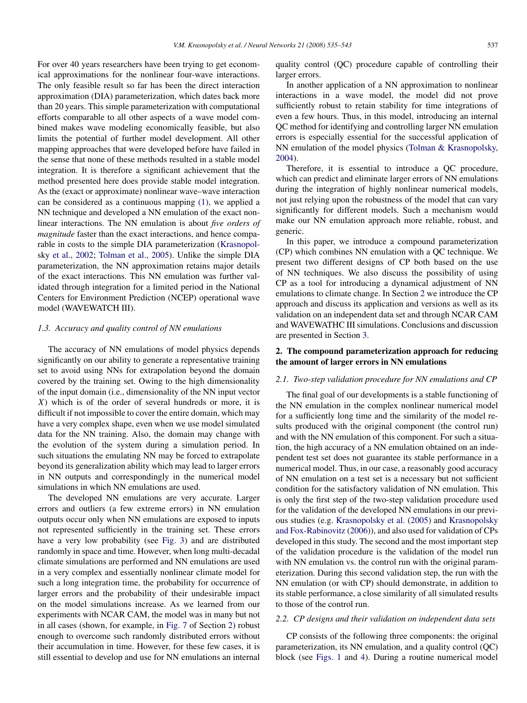For over 40 years researchers have been trying to get economical approximations for the nonlinear four-wave interactions. The only feasible result so far has been the direct interaction approximation (DIA) parameterization, which dates back more than 20 years. This simple parameterization with computational efforts comparable to all other aspects of a wave model combined makes wave modeling economically feasible, but also limits the potential of further model development. All other mapping approaches that were developed before have failed in the sense that none of these methods resulted in a stable model integration. It is therefore a significant achievement that the method presented here does provide stable model integration. As the (exact or approximate) nonlinear wave–wave interaction can be considered as a continuous mapping [\(1\),](#page-1-0) we applied a NN technique and developed a NN emulation of the exact nonlinear interactions. The NN emulation is about *five orders of magnitude* faster than the exact interactions, and hence compa[r](#page-8-0)able in costs to the simple DIA parameterization [\(Krasnopol](#page-8-0)[sky](#page-8-0) [et al.,](#page-8-0) [2002;](#page-8-0) [Tolman](#page-8-3) [et al.,](#page-8-3) [2005\)](#page-8-3). Unlike the simple DIA parameterization, the NN approximation retains major details of the exact interactions. This NN emulation was further validated through integration for a limited period in the National Centers for Environment Prediction (NCEP) operational wave model (WAVEWATCH III).

## *1.3. Accuracy and quality control of NN emulations*

The accuracy of NN emulations of model physics depends significantly on our ability to generate a representative training set to avoid using NNs for extrapolation beyond the domain covered by the training set. Owing to the high dimensionality of the input domain (i.e., dimensionality of the NN input vector *X*) which is of the order of several hundreds or more, it is difficult if not impossible to cover the entire domain, which may have a very complex shape, even when we use model simulated data for the NN training. Also, the domain may change with the evolution of the system during a simulation period. In such situations the emulating NN may be forced to extrapolate beyond its generalization ability which may lead to larger errors in NN outputs and correspondingly in the numerical model simulations in which NN emulations are used.

The developed NN emulations are very accurate. Larger errors and outliers (a few extreme errors) in NN emulation outputs occur only when NN emulations are exposed to inputs not represented sufficiently in the training set. These errors have a very low probability (see [Fig. 3\)](#page-4-0) and are distributed randomly in space and time. However, when long multi-decadal climate simulations are performed and NN emulations are used in a very complex and essentially nonlinear climate model for such a long integration time, the probability for occurrence of larger errors and the probability of their undesirable impact on the model simulations increase. As we learned from our experiments with NCAR CAM, the model was in many but not in all cases (shown, for example, in [Fig. 7](#page-6-0) of Section [2\)](#page-2-0) robust enough to overcome such randomly distributed errors without their accumulation in time. However, for these few cases, it is still essential to develop and use for NN emulations an internal quality control (QC) procedure capable of controlling their larger errors.

In another application of a NN approximation to nonlinear interactions in a wave model, the model did not prove sufficiently robust to retain stability for time integrations of even a few hours. Thus, in this model, introducing an internal QC method for identifying and controlling larger NN emulation errors is especially essential for the successful application of NN emulation of the model physics [\(Tolman](#page-8-9) [&](#page-8-9) [Krasnopolsky,](#page-8-9) [2004\)](#page-8-9).

Therefore, it is essential to introduce a QC procedure, which can predict and eliminate larger errors of NN emulations during the integration of highly nonlinear numerical models, not just relying upon the robustness of the model that can vary significantly for different models. Such a mechanism would make our NN emulation approach more reliable, robust, and generic.

In this paper, we introduce a compound parameterization (CP) which combines NN emulation with a QC technique. We present two different designs of CP both based on the use of NN techniques. We also discuss the possibility of using CP as a tool for introducing a dynamical adjustment of NN emulations to climate change. In Section [2](#page-2-0) we introduce the CP approach and discuss its application and versions as well as its validation on an independent data set and through NCAR CAM and WAVEWATHC III simulations. Conclusions and discussion are presented in Section [3.](#page-7-0)

#### <span id="page-2-0"></span>2. The compound parameterization approach for reducing the amount of larger errors in NN emulations

#### *2.1. Two-step validation procedure for NN emulations and CP*

The final goal of our developments is a stable functioning of the NN emulation in the complex nonlinear numerical model for a sufficiently long time and the similarity of the model results produced with the original component (the control run) and with the NN emulation of this component. For such a situation, the high accuracy of a NN emulation obtained on an independent test set does not guarantee its stable performance in a numerical model. Thus, in our case, a reasonably good accuracy of NN emulation on a test set is a necessary but not sufficient condition for the satisfactory validation of NN emulation. This is only the first step of the two-step validation procedure used for the validation of the developed NN emulations in our previous studies (e.g. [Krasnopolsky](#page-8-1) [et al.](#page-8-1) [\(2005\)](#page-8-1) and [Krasnopolsky](#page-8-4) [and](#page-8-4) [Fox-Rabinovitz](#page-8-4) [\(2006\)](#page-8-4)), and also used for validation of CPs developed in this study. The second and the most important step of the validation procedure is the validation of the model run with NN emulation vs. the control run with the original parameterization. During this second validation step, the run with the NN emulation (or with CP) should demonstrate, in addition to its stable performance, a close similarity of all simulated results to those of the control run.

# <span id="page-2-1"></span>*2.2. CP designs and their validation on independent data sets*

CP consists of the following three components: the original parameterization, its NN emulation, and a quality control (QC) block (see [Figs. 1](#page-3-0) and [4\)](#page-5-0). During a routine numerical model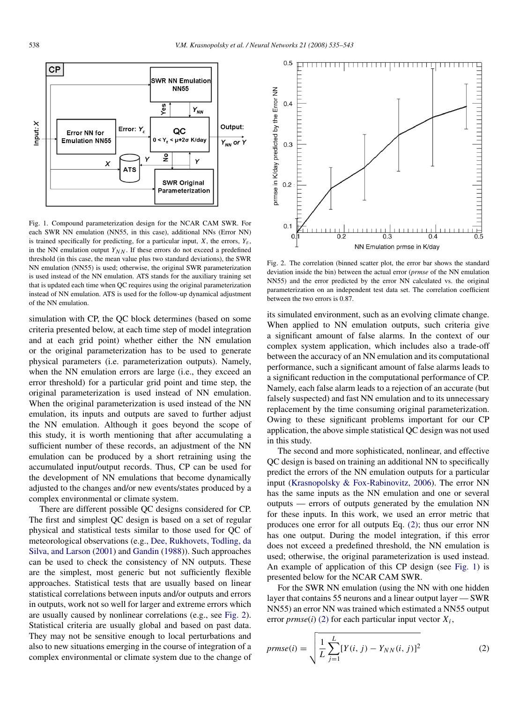<span id="page-3-0"></span>

Fig. 1. Compound parameterization design for the NCAR CAM SWR. For each SWR NN emulation (NN55, in this case), additional NNs (Error NN) is trained specifically for predicting, for a particular input, *X*, the errors,  $Y_{\varepsilon}$ , in the NN emulation output *Y<sub>NN</sub>*. If these errors do not exceed a predefined threshold (in this case, the mean value plus two standard deviations), the SWR NN emulation (NN55) is used; otherwise, the original SWR parameterization is used instead of the NN emulation. ATS stands for the auxiliary training set that is updated each time when QC requires using the original parameterization instead of NN emulation. ATS is used for the follow-up dynamical adjustment of the NN emulation.

simulation with CP, the QC block determines (based on some criteria presented below, at each time step of model integration and at each grid point) whether either the NN emulation or the original parameterization has to be used to generate physical parameters (i.e. parameterization outputs). Namely, when the NN emulation errors are large (i.e., they exceed an error threshold) for a particular grid point and time step, the original parameterization is used instead of NN emulation. When the original parameterization is used instead of the NN emulation, its inputs and outputs are saved to further adjust the NN emulation. Although it goes beyond the scope of this study, it is worth mentioning that after accumulating a sufficient number of these records, an adjustment of the NN emulation can be produced by a short retraining using the accumulated input/output records. Thus, CP can be used for the development of NN emulations that become dynamically adjusted to the changes and/or new events/states produced by a complex environmental or climate system.

There are different possible QC designs considered for CP. The first and simplest QC design is based on a set of regular physical and statistical tests similar to those used for QC of meteorological observations (e.g., [Dee,](#page-8-10) [Rukhovets,](#page-8-10) [Todling,](#page-8-10) [da](#page-8-10) [Silva,](#page-8-10) [and](#page-8-10) [Larson](#page-8-10) [\(2001\)](#page-8-10) and [Gandin](#page-8-11) [\(1988\)](#page-8-11)). Such approaches can be used to check the consistency of NN outputs. These are the simplest, most generic but not sufficiently flexible approaches. Statistical tests that are usually based on linear statistical correlations between inputs and/or outputs and errors in outputs, work not so well for larger and extreme errors which are usually caused by nonlinear correlations (e.g., see [Fig. 2\)](#page-3-1). Statistical criteria are usually global and based on past data. They may not be sensitive enough to local perturbations and also to new situations emerging in the course of integration of a complex environmental or climate system due to the change of

<span id="page-3-1"></span>

Fig. 2. The correlation (binned scatter plot, the error bar shows the standard deviation inside the bin) between the actual error (*prmse* of the NN emulation NN55) and the error predicted by the error NN calculated vs. the original parameterization on an independent test data set. The correlation coefficient between the two errors is 0.87.

its simulated environment, such as an evolving climate change. When applied to NN emulation outputs, such criteria give a significant amount of false alarms. In the context of our complex system application, which includes also a trade-off between the accuracy of an NN emulation and its computational performance, such a significant amount of false alarms leads to a significant reduction in the computational performance of CP. Namely, each false alarm leads to a rejection of an accurate (but falsely suspected) and fast NN emulation and to its unnecessary replacement by the time consuming original parameterization. Owing to these significant problems important for our CP application, the above simple statistical QC design was not used in this study.

The second and more sophisticated, nonlinear, and effective QC design is based on training an additional NN to specifically predict the errors of the NN emulation outputs for a particular input [\(Krasnopolsky](#page-8-4) [&](#page-8-4) [Fox-Rabinovitz,](#page-8-4) [2006\)](#page-8-4). The error NN has the same inputs as the NN emulation and one or several outputs — errors of outputs generated by the emulation NN for these inputs. In this work, we used an error metric that produces one error for all outputs Eq. [\(2\);](#page-3-2) thus our error NN has one output. During the model integration, if this error does not exceed a predefined threshold, the NN emulation is used; otherwise, the original parameterization is used instead. An example of application of this CP design (see [Fig. 1\)](#page-3-0) is presented below for the NCAR CAM SWR.

For the SWR NN emulation (using the NN with one hidden layer that contains 55 neurons and a linear output layer — SWR NN55) an error NN was trained which estimated a NN55 output error  $\textit{prmse}(i)$  [\(2\)](#page-3-2) for each particular input vector  $X_i$ ,

<span id="page-3-2"></span>
$$
prmse(i) = \sqrt{\frac{1}{L} \sum_{j=1}^{L} [Y(i, j) - Y_{NN}(i, j)]^2}
$$
 (2)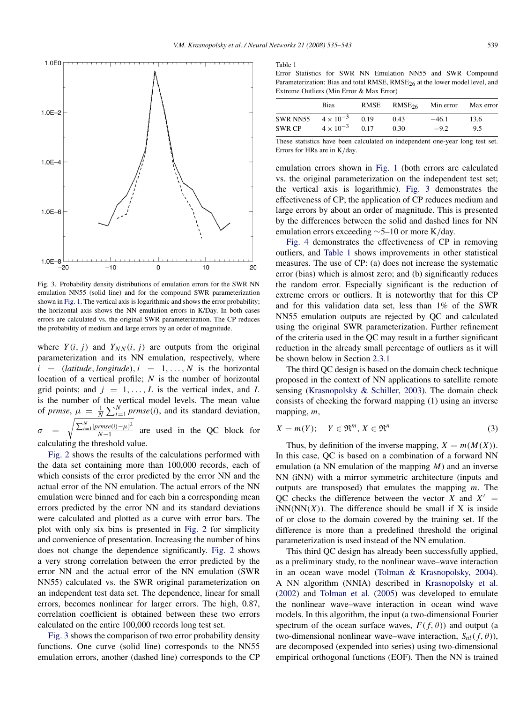<span id="page-4-0"></span>

Fig. 3. Probability density distributions of emulation errors for the SWR NN emulation NN55 (solid line) and for the compound SWR parameterization shown in [Fig. 1.](#page-3-0) The vertical axis is logarithmic and shows the error probability; the horizontal axis shows the NN emulation errors in K/Day. In both cases errors are calculated vs. the original SWR parameterization. The CP reduces the probability of medium and large errors by an order of magnitude.

where  $Y(i, j)$  and  $Y_{NN}(i, j)$  are outputs from the original parameterization and its NN emulation, respectively, where  $i = (latitude, longitude), i = 1, ..., N$  is the horizontal location of a vertical profile; *N* is the number of horizontal grid points; and  $j = 1, \ldots, L$  is the vertical index, and L is the number of the vertical model levels. The mean value of *prmse*,  $\mu = \frac{1}{N} \sum_{i=1}^{N} \text{prmse}(i)$ , and its standard deviation,  $\sigma$  $\int \frac{\sum_{i=1}^{N} [prmse(i) - \mu]^2}{\sum_{i=1}^{N} [prmse(i) - \mu]^2}$  $\frac{mse(t)-\mu_1}{N-1}$  are used in the QC block for calculating the threshold value.

[Fig. 2](#page-3-1) shows the results of the calculations performed with the data set containing more than 100,000 records, each of which consists of the error predicted by the error NN and the actual error of the NN emulation. The actual errors of the NN emulation were binned and for each bin a corresponding mean errors predicted by the error NN and its standard deviations were calculated and plotted as a curve with error bars. The plot with only six bins is presented in [Fig. 2](#page-3-1) for simplicity and convenience of presentation. Increasing the number of bins does not change the dependence significantly. [Fig. 2](#page-3-1) shows a very strong correlation between the error predicted by the error NN and the actual error of the NN emulation (SWR NN55) calculated vs. the SWR original parameterization on an independent test data set. The dependence, linear for small errors, becomes nonlinear for larger errors. The high, 0.87, correlation coefficient is obtained between these two errors calculated on the entire 100,000 records long test set.

[Fig. 3](#page-4-0) shows the comparison of two error probability density functions. One curve (solid line) corresponds to the NN55 emulation errors, another (dashed line) corresponds to the CP <span id="page-4-1"></span>Table 1

Error Statistics for SWR NN Emulation NN55 and SWR Compound Parameterization: Bias and total RMSE,  $RMSE_{26}$  at the lower model level, and Extreme Outliers (Min Error & Max Error)

|                             | <b>Bias</b>        | RMSE |      | $RMSE26$ Min error Max error |      |
|-----------------------------|--------------------|------|------|------------------------------|------|
| SWR NN55 $4 \times 10^{-3}$ |                    | 0.19 | 0.43 | $-46.1$                      | 13.6 |
| SWR CP                      | $4 \times 10^{-3}$ | 0.17 | 0.30 | $-9.2$                       | 9.5  |

These statistics have been calculated on independent one-year long test set. Errors for HRs are in K/day.

emulation errors shown in [Fig. 1](#page-3-0) (both errors are calculated vs. the original parameterization on the independent test set; the vertical axis is logarithmic). [Fig. 3](#page-4-0) demonstrates the effectiveness of CP; the application of CP reduces medium and large errors by about an order of magnitude. This is presented by the differences between the solid and dashed lines for NN emulation errors exceeding ∼5–10 or more K/day.

[Fig. 4](#page-5-0) demonstrates the effectiveness of CP in removing outliers, and [Table 1](#page-4-1) shows improvements in other statistical measures. The use of CP: (a) does not increase the systematic error (bias) which is almost zero; and (b) significantly reduces the random error. Especially significant is the reduction of extreme errors or outliers. It is noteworthy that for this CP and for this validation data set, less than 1% of the SWR NN55 emulation outputs are rejected by QC and calculated using the original SWR parameterization. Further refinement of the criteria used in the QC may result in a further significant reduction in the already small percentage of outliers as it will be shown below in Section [2.3.1](#page-5-1)

The third QC design is based on the domain check technique proposed in the context of NN applications to satellite remote sensing [\(Krasnopolsky](#page-8-12) [&](#page-8-12) [Schiller,](#page-8-12) [2003\)](#page-8-12). The domain check consists of checking the forward mapping (1) using an inverse mapping, *m*,

$$
X = m(Y); \quad Y \in \mathfrak{R}^m, X \in \mathfrak{R}^n \tag{3}
$$

Thus, by definition of the inverse mapping,  $X = m(M(X))$ . In this case, QC is based on a combination of a forward NN emulation (a NN emulation of the mapping *M*) and an inverse NN (iNN) with a mirror symmetric architecture (inputs and outputs are transposed) that emulates the mapping *m*. The QC checks the difference between the vector  $\hat{X}$  and  $\hat{X}'$  $iNN(NN(X))$ . The difference should be small if X is inside of or close to the domain covered by the training set. If the difference is more than a predefined threshold the original parameterization is used instead of the NN emulation.

This third QC design has already been successfully applied, as a preliminary study, to the nonlinear wave–wave interaction in an ocean wave model [\(Tolman](#page-8-9) [&](#page-8-9) [Krasnopolsky,](#page-8-9) [2004\)](#page-8-9). A NN algorithm (NNIA) described in [Krasnopolsky](#page-8-0) [et al.](#page-8-0) [\(2002\)](#page-8-0) and [Tolman](#page-8-3) [et al.](#page-8-3) [\(2005\)](#page-8-3) was developed to emulate the nonlinear wave–wave interaction in ocean wind wave models. In this algorithm, the input (a two-dimensional Fourier spectrum of the ocean surface waves,  $F(f, \theta)$  and output (a two-dimensional nonlinear wave–wave interaction,  $S_{nl}(f, \theta)$ ), are decomposed (expended into series) using two-dimensional empirical orthogonal functions (EOF). Then the NN is trained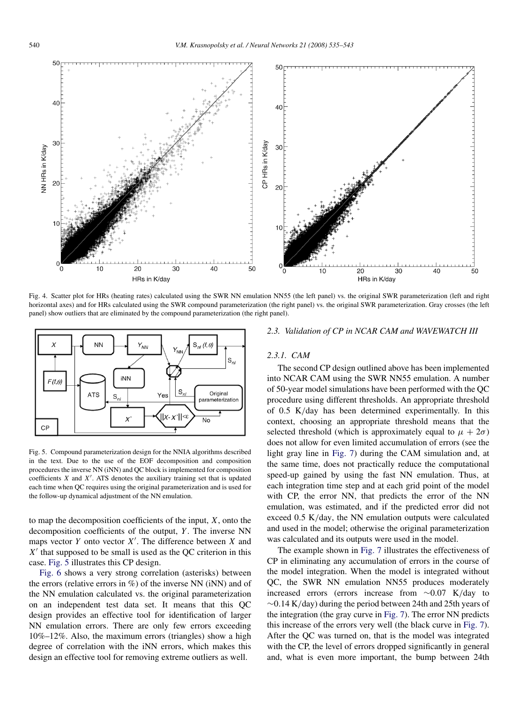<span id="page-5-0"></span>

Fig. 4. Scatter plot for HRs (heating rates) calculated using the SWR NN emulation NN55 (the left panel) vs. the original SWR parameterization (left and right horizontal axes) and for HRs calculated using the SWR compound parameterization (the right panel) vs. the original SWR parameterization. Gray crosses (the left panel) show outliers that are eliminated by the compound parameterization (the right panel).

<span id="page-5-2"></span>

Fig. 5. Compound parameterization design for the NNIA algorithms described in the text. Due to the use of the EOF decomposition and composition procedures the inverse NN (iNN) and QC block is implemented for composition coefficients  $X$  and  $X'$ . ATS denotes the auxiliary training set that is updated each time when QC requires using the original parameterization and is used for the follow-up dynamical adjustment of the NN emulation.

to map the decomposition coefficients of the input, *X*, onto the decomposition coefficients of the output, *Y*. The inverse NN maps vector  $Y$  onto vector  $X'$ . The difference between  $X$  and  $X'$  that supposed to be small is used as the QC criterion in this case. [Fig. 5](#page-5-2) illustrates this CP design.

[Fig. 6](#page-6-1) shows a very strong correlation (asterisks) between the errors (relative errors in %) of the inverse NN (iNN) and of the NN emulation calculated vs. the original parameterization on an independent test data set. It means that this QC design provides an effective tool for identification of larger NN emulation errors. There are only few errors exceeding 10%–12%. Also, the maximum errors (triangles) show a high degree of correlation with the iNN errors, which makes this design an effective tool for removing extreme outliers as well.

# *2.3. Validation of CP in NCAR CAM and WAVEWATCH III*

#### <span id="page-5-1"></span>*2.3.1. CAM*

The second CP design outlined above has been implemented into NCAR CAM using the SWR NN55 emulation. A number of 50-year model simulations have been performed with the QC procedure using different thresholds. An appropriate threshold of 0.5 K/day has been determined experimentally. In this context, choosing an appropriate threshold means that the selected threshold (which is approximately equal to  $\mu + 2\sigma$ ) does not allow for even limited accumulation of errors (see the light gray line in [Fig. 7\)](#page-6-0) during the CAM simulation and, at the same time, does not practically reduce the computational speed-up gained by using the fast NN emulation. Thus, at each integration time step and at each grid point of the model with CP, the error NN, that predicts the error of the NN emulation, was estimated, and if the predicted error did not exceed 0.5 K/day, the NN emulation outputs were calculated and used in the model; otherwise the original parameterization was calculated and its outputs were used in the model.

The example shown in [Fig. 7](#page-6-0) illustrates the effectiveness of CP in eliminating any accumulation of errors in the course of the model integration. When the model is integrated without QC, the SWR NN emulation NN55 produces moderately increased errors (errors increase from ∼0.07 K/day to ∼0.14 K/day) during the period between 24th and 25th years of the integration (the gray curve in [Fig. 7\)](#page-6-0). The error NN predicts this increase of the errors very well (the black curve in [Fig. 7\)](#page-6-0). After the QC was turned on, that is the model was integrated with the CP, the level of errors dropped significantly in general and, what is even more important, the bump between 24th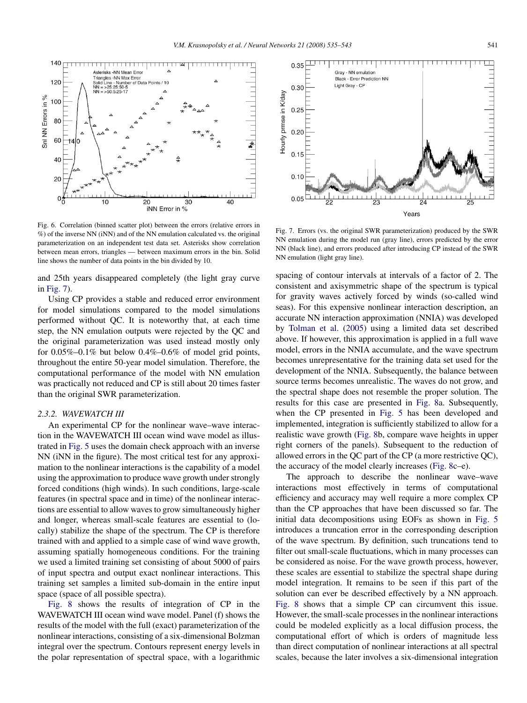<span id="page-6-1"></span>

Fig. 6. Correlation (binned scatter plot) between the errors (relative errors in %) of the inverse NN (iNN) and of the NN emulation calculated vs. the original parameterization on an independent test data set. Asterisks show correlation between mean errors, triangles — between maximum errors in the bin. Solid line shows the number of data points in the bin divided by 10.

and 25th years disappeared completely (the light gray curve in [Fig. 7\)](#page-6-0).

Using CP provides a stable and reduced error environment for model simulations compared to the model simulations performed without QC. It is noteworthy that, at each time step, the NN emulation outputs were rejected by the QC and the original parameterization was used instead mostly only for  $0.05\%$ – $0.1\%$  but below  $0.4\%$ – $0.6\%$  of model grid points, throughout the entire 50-year model simulation. Therefore, the computational performance of the model with NN emulation was practically not reduced and CP is still about 20 times faster than the original SWR parameterization.

#### *2.3.2. WAVEWATCH III*

An experimental CP for the nonlinear wave–wave interaction in the WAVEWATCH III ocean wind wave model as illustrated in [Fig. 5](#page-5-2) uses the domain check approach with an inverse NN (iNN in the figure). The most critical test for any approximation to the nonlinear interactions is the capability of a model using the approximation to produce wave growth under strongly forced conditions (high winds). In such conditions, large-scale features (in spectral space and in time) of the nonlinear interactions are essential to allow waves to grow simultaneously higher and longer, whereas small-scale features are essential to (locally) stabilize the shape of the spectrum. The CP is therefore trained with and applied to a simple case of wind wave growth, assuming spatially homogeneous conditions. For the training we used a limited training set consisting of about 5000 of pairs of input spectra and output exact nonlinear interactions. This training set samples a limited sub-domain in the entire input space (space of all possible spectra).

[Fig. 8](#page-7-1) shows the results of integration of CP in the WAVEWATCH III ocean wind wave model. Panel (f) shows the results of the model with the full (exact) parameterization of the nonlinear interactions, consisting of a six-dimensional Bolzman integral over the spectrum. Contours represent energy levels in the polar representation of spectral space, with a logarithmic

<span id="page-6-0"></span>

Fig. 7. Errors (vs. the original SWR parameterization) produced by the SWR NN emulation during the model run (gray line), errors predicted by the error NN (black line), and errors produced after introducing CP instead of the SWR NN emulation (light gray line).

spacing of contour intervals at intervals of a factor of 2. The consistent and axisymmetric shape of the spectrum is typical for gravity waves actively forced by winds (so-called wind seas). For this expensive nonlinear interaction description, an accurate NN interaction approximation (NNIA) was developed by [Tolman](#page-8-3) [et al.](#page-8-3) [\(2005\)](#page-8-3) using a limited data set described above. If however, this approximation is applied in a full wave model, errors in the NNIA accumulate, and the wave spectrum becomes unrepresentative for the training data set used for the development of the NNIA. Subsequently, the balance between source terms becomes unrealistic. The waves do not grow, and the spectral shape does not resemble the proper solution. The results for this case are presented in [Fig. 8a](#page-7-1). Subsequently, when the CP presented in [Fig. 5](#page-5-2) has been developed and implemented, integration is sufficiently stabilized to allow for a realistic wave growth [\(Fig. 8b](#page-7-1), compare wave heights in upper right corners of the panels). Subsequent to the reduction of allowed errors in the QC part of the CP (a more restrictive QC), the accuracy of the model clearly increases [\(Fig. 8c](#page-7-1)–e).

The approach to describe the nonlinear wave–wave interactions most effectively in terms of computational efficiency and accuracy may well require a more complex CP than the CP approaches that have been discussed so far. The initial data decompositions using EOFs as shown in [Fig. 5](#page-5-2) introduces a truncation error in the corresponding description of the wave spectrum. By definition, such truncations tend to filter out small-scale fluctuations, which in many processes can be considered as noise. For the wave growth process, however, these scales are essential to stabilize the spectral shape during model integration. It remains to be seen if this part of the solution can ever be described effectively by a NN approach. [Fig. 8](#page-7-1) shows that a simple CP can circumvent this issue. However, the small-scale processes in the nonlinear interactions could be modeled explicitly as a local diffusion process, the computational effort of which is orders of magnitude less than direct computation of nonlinear interactions at all spectral scales, because the later involves a six-dimensional integration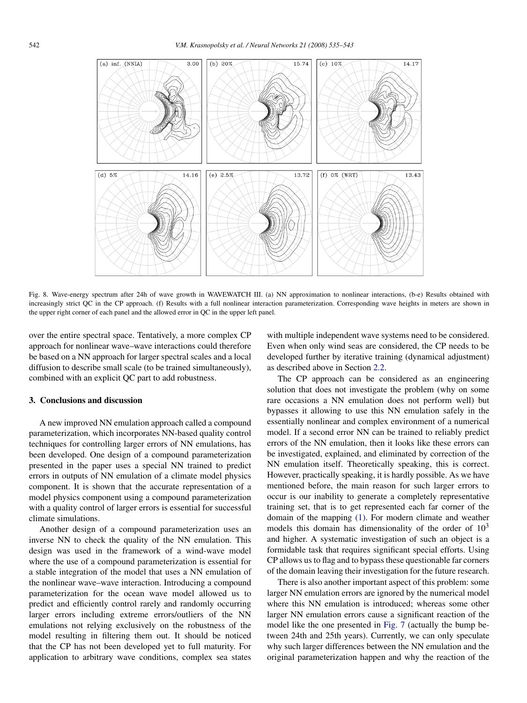<span id="page-7-1"></span>

Fig. 8. Wave-energy spectrum after 24h of wave growth in WAVEWATCH III. (a) NN approximation to nonlinear interactions, (b-e) Results obtained with increasingly strict QC in the CP approach. (f) Results with a full nonlinear interaction parameterization. Corresponding wave heights in meters are shown in the upper right corner of each panel and the allowed error in QC in the upper left panel.

over the entire spectral space. Tentatively, a more complex CP approach for nonlinear wave–wave interactions could therefore be based on a NN approach for larger spectral scales and a local diffusion to describe small scale (to be trained simultaneously), combined with an explicit QC part to add robustness.

### <span id="page-7-0"></span>3. Conclusions and discussion

A new improved NN emulation approach called a compound parameterization, which incorporates NN-based quality control techniques for controlling larger errors of NN emulations, has been developed. One design of a compound parameterization presented in the paper uses a special NN trained to predict errors in outputs of NN emulation of a climate model physics component. It is shown that the accurate representation of a model physics component using a compound parameterization with a quality control of larger errors is essential for successful climate simulations.

Another design of a compound parameterization uses an inverse NN to check the quality of the NN emulation. This design was used in the framework of a wind-wave model where the use of a compound parameterization is essential for a stable integration of the model that uses a NN emulation of the nonlinear wave–wave interaction. Introducing a compound parameterization for the ocean wave model allowed us to predict and efficiently control rarely and randomly occurring larger errors including extreme errors/outliers of the NN emulations not relying exclusively on the robustness of the model resulting in filtering them out. It should be noticed that the CP has not been developed yet to full maturity. For application to arbitrary wave conditions, complex sea states

with multiple independent wave systems need to be considered. Even when only wind seas are considered, the CP needs to be developed further by iterative training (dynamical adjustment) as described above in Section [2.2.](#page-2-1)

The CP approach can be considered as an engineering solution that does not investigate the problem (why on some rare occasions a NN emulation does not perform well) but bypasses it allowing to use this NN emulation safely in the essentially nonlinear and complex environment of a numerical model. If a second error NN can be trained to reliably predict errors of the NN emulation, then it looks like these errors can be investigated, explained, and eliminated by correction of the NN emulation itself. Theoretically speaking, this is correct. However, practically speaking, it is hardly possible. As we have mentioned before, the main reason for such larger errors to occur is our inability to generate a completely representative training set, that is to get represented each far corner of the domain of the mapping [\(1\).](#page-1-0) For modern climate and weather models this domain has dimensionality of the order of  $10<sup>3</sup>$ and higher. A systematic investigation of such an object is a formidable task that requires significant special efforts. Using CP allows us to flag and to bypass these questionable far corners of the domain leaving their investigation for the future research.

There is also another important aspect of this problem: some larger NN emulation errors are ignored by the numerical model where this NN emulation is introduced; whereas some other larger NN emulation errors cause a significant reaction of the model like the one presented in [Fig. 7](#page-6-0) (actually the bump between 24th and 25th years). Currently, we can only speculate why such larger differences between the NN emulation and the original parameterization happen and why the reaction of the